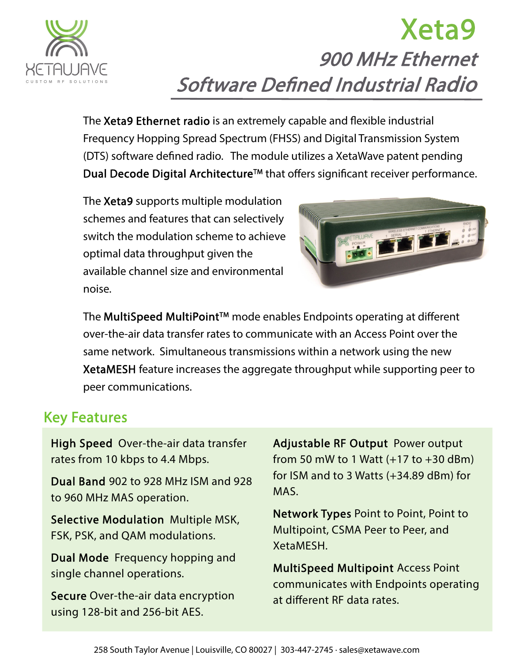

# Xeta9 900 MHz Ethernet Software Defined Industrial Radio

The Xeta9 Ethernet radio is an extremely capable and flexible industrial Frequency Hopping Spread Spectrum (FHSS) and Digital Transmission System (DTS) software defined radio. The module utilizes a XetaWave patent pending Dual Decode Digital Architecture<sup>™</sup> that offers significant receiver performance.

The Xeta9 supports multiple modulation schemes and features that can selectively switch the modulation scheme to achieve optimal data throughput given the available channel size and environmental noise.



The MultiSpeed MultiPoint™ mode enables Endpoints operating at different over-the-air data transfer rates to communicate with an Access Point over the same network. Simultaneous transmissions within a network using the new XetaMESH feature increases the aggregate throughput while supporting peer to peer communications.

## Key Features

High Speed Over-the-air data transfer rates from 10 kbps to 4.4 Mbps.

Dual Band 902 to 928 MHz ISM and 928 to 960 MHz MAS operation.

Selective Modulation Multiple MSK, FSK, PSK, and QAM modulations.

Dual Mode Frequency hopping and single channel operations.

Secure Over-the-air data encryption using 128-bit and 256-bit AES.

Adjustable RF Output Power output from 50 mW to 1 Watt  $(+17$  to  $+30$  dBm) for ISM and to 3 Watts (+34.89 dBm) for MAS.

Network Types Point to Point, Point to Multipoint, CSMA Peer to Peer, and XetaMESH.

MultiSpeed Multipoint Access Point communicates with Endpoints operating at different RF data rates.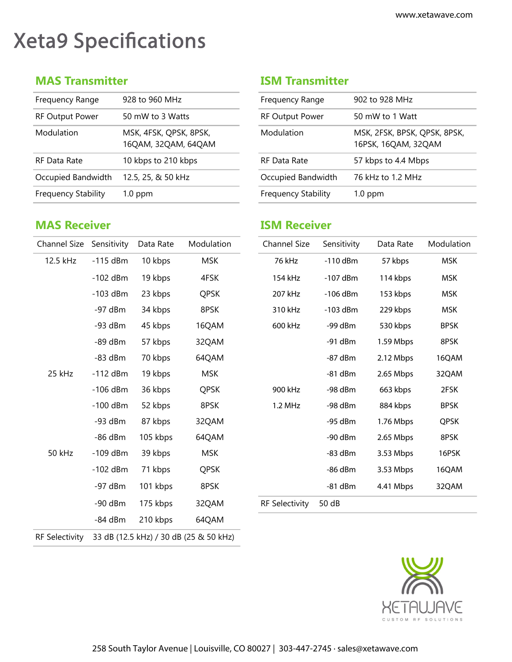## Xeta9 Specifications

| 928 to 960 MHz                                | Frequency Range            | 902 to 928 MHz                            |
|-----------------------------------------------|----------------------------|-------------------------------------------|
|                                               |                            |                                           |
| 50 mW to 3 Watts                              | <b>RF Output Power</b>     | 50 mW to 1 Watt                           |
| MSK, 4FSK, QPSK, 8PSK,<br>16QAM, 32QAM, 64QAM | Modulation                 | MSK, 2FSK, BPSK, QP<br>16PSK, 16QAM, 32Q/ |
| 10 kbps to 210 kbps                           | <b>RF Data Rate</b>        | 57 kbps to 4.4 Mbps                       |
| 12.5, 25, & 50 kHz                            | Occupied Bandwidth         | 76 kHz to 1.2 MHz                         |
| $1.0$ ppm                                     | <b>Frequency Stability</b> | $1.0$ ppm                                 |
|                                               |                            |                                           |

#### **MAS Receiver ISM Receiver**

#### **MAS Transmitter ISM Transmitter**

| Frequency Range            | 902 to 928 MHz                                      |
|----------------------------|-----------------------------------------------------|
| <b>RF Output Power</b>     | 50 mW to 1 Watt                                     |
| Modulation                 | MSK, 2FSK, BPSK, QPSK, 8PSK,<br>16PSK, 16QAM, 32QAM |
| RF Data Rate               | 57 kbps to 4.4 Mbps                                 |
| Occupied Bandwidth         | 76 kHz to 1.2 MHz                                   |
| <b>Frequency Stability</b> | $1.0$ ppm                                           |
|                            |                                                     |

| Channel Size Sensitivity |            | Data Rate | Modulation                             | <b>Channel Size</b>   | Sensitivity | Data Rate | Modulation  |
|--------------------------|------------|-----------|----------------------------------------|-----------------------|-------------|-----------|-------------|
| 12.5 kHz                 | $-115$ dBm | 10 kbps   | <b>MSK</b>                             | 76 kHz                | $-110$ dBm  | 57 kbps   | <b>MSK</b>  |
|                          | $-102$ dBm | 19 kbps   | 4FSK                                   | 154 kHz               | $-107$ dBm  | 114 kbps  | <b>MSK</b>  |
|                          | $-103$ dBm | 23 kbps   | <b>QPSK</b>                            | 207 kHz               | $-106$ dBm  | 153 kbps  | <b>MSK</b>  |
|                          | $-97$ dBm  | 34 kbps   | 8PSK                                   | 310 kHz               | $-103$ dBm  | 229 kbps  | <b>MSK</b>  |
|                          | $-93$ dBm  | 45 kbps   | 16QAM                                  | 600 kHz               | $-99$ dBm   | 530 kbps  | <b>BPSK</b> |
|                          | $-89$ dBm  | 57 kbps   | 32QAM                                  |                       | $-91$ dBm   | 1.59 Mbps | 8PSK        |
|                          | $-83$ dBm  | 70 kbps   | 64QAM                                  |                       | $-87$ dBm   | 2.12 Mbps | 16QAM       |
| 25 kHz                   | $-112$ dBm | 19 kbps   | <b>MSK</b>                             |                       | $-81$ dBm   | 2.65 Mbps | 32QAM       |
|                          | $-106$ dBm | 36 kbps   | <b>QPSK</b>                            | 900 kHz               | -98 dBm     | 663 kbps  | 2FSK        |
|                          | $-100$ dBm | 52 kbps   | 8PSK                                   | 1.2 MHz               | $-98$ dBm   | 884 kbps  | <b>BPSK</b> |
|                          | $-93$ dBm  | 87 kbps   | 32QAM                                  |                       | -95 dBm     | 1.76 Mbps | QPSK        |
|                          | $-86$ dBm  | 105 kbps  | 64QAM                                  |                       | $-90$ dBm   | 2.65 Mbps | 8PSK        |
| 50 kHz                   | $-109$ dBm | 39 kbps   | <b>MSK</b>                             |                       | $-83$ dBm   | 3.53 Mbps | 16PSK       |
|                          | $-102$ dBm | 71 kbps   | <b>QPSK</b>                            |                       | -86 dBm     | 3.53 Mbps | 16QAM       |
|                          | $-97$ dBm  | 101 kbps  | 8PSK                                   |                       | $-81$ dBm   | 4.41 Mbps | 32QAM       |
|                          | $-90$ dBm  | 175 kbps  | 32QAM                                  | <b>RF Selectivity</b> | 50 dB       |           |             |
|                          | $-84$ dBm  | 210 kbps  | 64QAM                                  |                       |             |           |             |
| <b>RF Selectivity</b>    |            |           | 33 dB (12.5 kHz) / 30 dB (25 & 50 kHz) |                       |             |           |             |